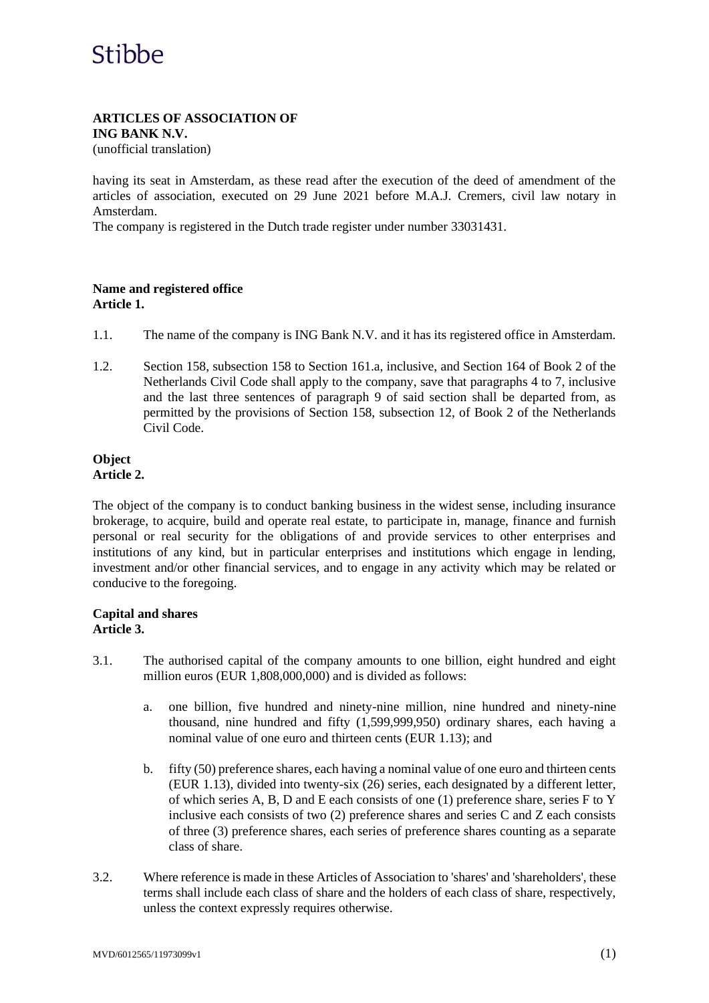#### **ARTICLES OF ASSOCIATION OF ING BANK N.V.**

(unofficial translation)

having its seat in Amsterdam, as these read after the execution of the deed of amendment of the articles of association, executed on 29 June 2021 before M.A.J. Cremers, civil law notary in Amsterdam.

The company is registered in the Dutch trade register under number 33031431.

## **Name and registered office Article 1.**

- 1.1. The name of the company is ING Bank N.V. and it has its registered office in Amsterdam.
- 1.2. Section 158, subsection 158 to Section 161.a, inclusive, and Section 164 of Book 2 of the Netherlands Civil Code shall apply to the company, save that paragraphs 4 to 7, inclusive and the last three sentences of paragraph 9 of said section shall be departed from, as permitted by the provisions of Section 158, subsection 12, of Book 2 of the Netherlands Civil Code.

#### **Object Article 2.**

The object of the company is to conduct banking business in the widest sense, including insurance brokerage, to acquire, build and operate real estate, to participate in, manage, finance and furnish personal or real security for the obligations of and provide services to other enterprises and institutions of any kind, but in particular enterprises and institutions which engage in lending, investment and/or other financial services, and to engage in any activity which may be related or conducive to the foregoing.

### **Capital and shares Article 3.**

- 3.1. The authorised capital of the company amounts to one billion, eight hundred and eight million euros (EUR 1,808,000,000) and is divided as follows:
	- a. one billion, five hundred and ninety-nine million, nine hundred and ninety-nine thousand, nine hundred and fifty (1,599,999,950) ordinary shares, each having a nominal value of one euro and thirteen cents (EUR 1.13); and
	- b. fifty (50) preference shares, each having a nominal value of one euro and thirteen cents (EUR 1.13), divided into twenty-six (26) series, each designated by a different letter, of which series A, B, D and E each consists of one (1) preference share, series F to Y inclusive each consists of two (2) preference shares and series C and Z each consists of three (3) preference shares, each series of preference shares counting as a separate class of share.
- 3.2. Where reference is made in these Articles of Association to 'shares' and 'shareholders', these terms shall include each class of share and the holders of each class of share, respectively, unless the context expressly requires otherwise.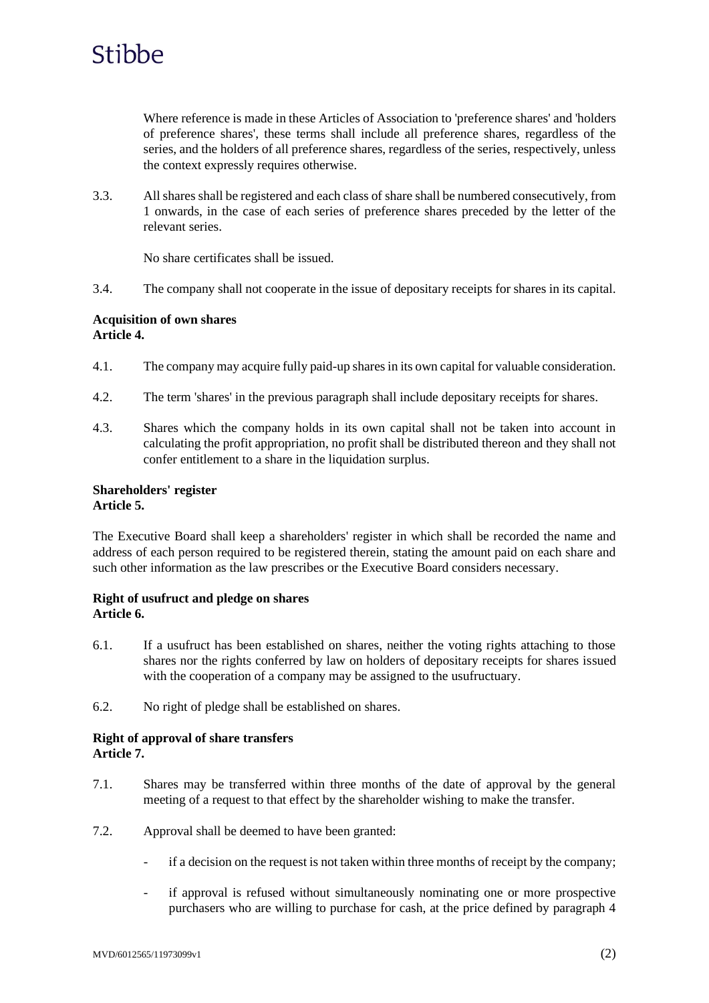

Where reference is made in these Articles of Association to 'preference shares' and 'holders of preference shares', these terms shall include all preference shares, regardless of the series, and the holders of all preference shares, regardless of the series, respectively, unless the context expressly requires otherwise.

3.3. All shares shall be registered and each class of share shall be numbered consecutively, from 1 onwards, in the case of each series of preference shares preceded by the letter of the relevant series.

No share certificates shall be issued.

3.4. The company shall not cooperate in the issue of depositary receipts for shares in its capital.

### **Acquisition of own shares Article 4.**

- 4.1. The company may acquire fully paid-up shares in its own capital for valuable consideration.
- 4.2. The term 'shares' in the previous paragraph shall include depositary receipts for shares.
- 4.3. Shares which the company holds in its own capital shall not be taken into account in calculating the profit appropriation, no profit shall be distributed thereon and they shall not confer entitlement to a share in the liquidation surplus.

### **Shareholders' register Article 5.**

The Executive Board shall keep a shareholders' register in which shall be recorded the name and address of each person required to be registered therein, stating the amount paid on each share and such other information as the law prescribes or the Executive Board considers necessary.

### **Right of usufruct and pledge on shares Article 6.**

- 6.1. If a usufruct has been established on shares, neither the voting rights attaching to those shares nor the rights conferred by law on holders of depositary receipts for shares issued with the cooperation of a company may be assigned to the usufructuary.
- 6.2. No right of pledge shall be established on shares.

### **Right of approval of share transfers Article 7.**

- 7.1. Shares may be transferred within three months of the date of approval by the general meeting of a request to that effect by the shareholder wishing to make the transfer.
- 7.2. Approval shall be deemed to have been granted:
	- if a decision on the request is not taken within three months of receipt by the company;
	- if approval is refused without simultaneously nominating one or more prospective purchasers who are willing to purchase for cash, at the price defined by paragraph 4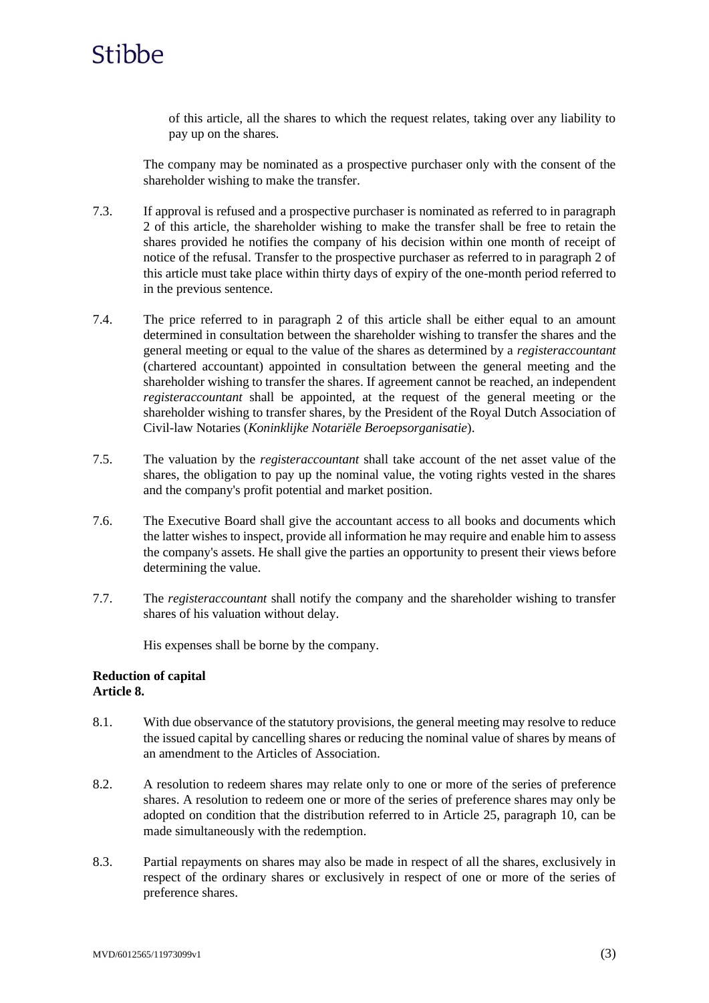

of this article, all the shares to which the request relates, taking over any liability to pay up on the shares.

The company may be nominated as a prospective purchaser only with the consent of the shareholder wishing to make the transfer.

- 7.3. If approval is refused and a prospective purchaser is nominated as referred to in paragraph 2 of this article, the shareholder wishing to make the transfer shall be free to retain the shares provided he notifies the company of his decision within one month of receipt of notice of the refusal. Transfer to the prospective purchaser as referred to in paragraph 2 of this article must take place within thirty days of expiry of the one-month period referred to in the previous sentence.
- 7.4. The price referred to in paragraph 2 of this article shall be either equal to an amount determined in consultation between the shareholder wishing to transfer the shares and the general meeting or equal to the value of the shares as determined by a *registeraccountant* (chartered accountant) appointed in consultation between the general meeting and the shareholder wishing to transfer the shares. If agreement cannot be reached, an independent *registeraccountant* shall be appointed, at the request of the general meeting or the shareholder wishing to transfer shares, by the President of the Royal Dutch Association of Civil-law Notaries (*Koninklijke Notariële Beroepsorganisatie*).
- 7.5. The valuation by the *registeraccountant* shall take account of the net asset value of the shares, the obligation to pay up the nominal value, the voting rights vested in the shares and the company's profit potential and market position.
- 7.6. The Executive Board shall give the accountant access to all books and documents which the latter wishes to inspect, provide all information he may require and enable him to assess the company's assets. He shall give the parties an opportunity to present their views before determining the value.
- 7.7. The *registeraccountant* shall notify the company and the shareholder wishing to transfer shares of his valuation without delay.

His expenses shall be borne by the company.

#### **Reduction of capital Article 8.**

- 8.1. With due observance of the statutory provisions, the general meeting may resolve to reduce the issued capital by cancelling shares or reducing the nominal value of shares by means of an amendment to the Articles of Association.
- 8.2. A resolution to redeem shares may relate only to one or more of the series of preference shares. A resolution to redeem one or more of the series of preference shares may only be adopted on condition that the distribution referred to in Article 25, paragraph 10, can be made simultaneously with the redemption.
- 8.3. Partial repayments on shares may also be made in respect of all the shares, exclusively in respect of the ordinary shares or exclusively in respect of one or more of the series of preference shares.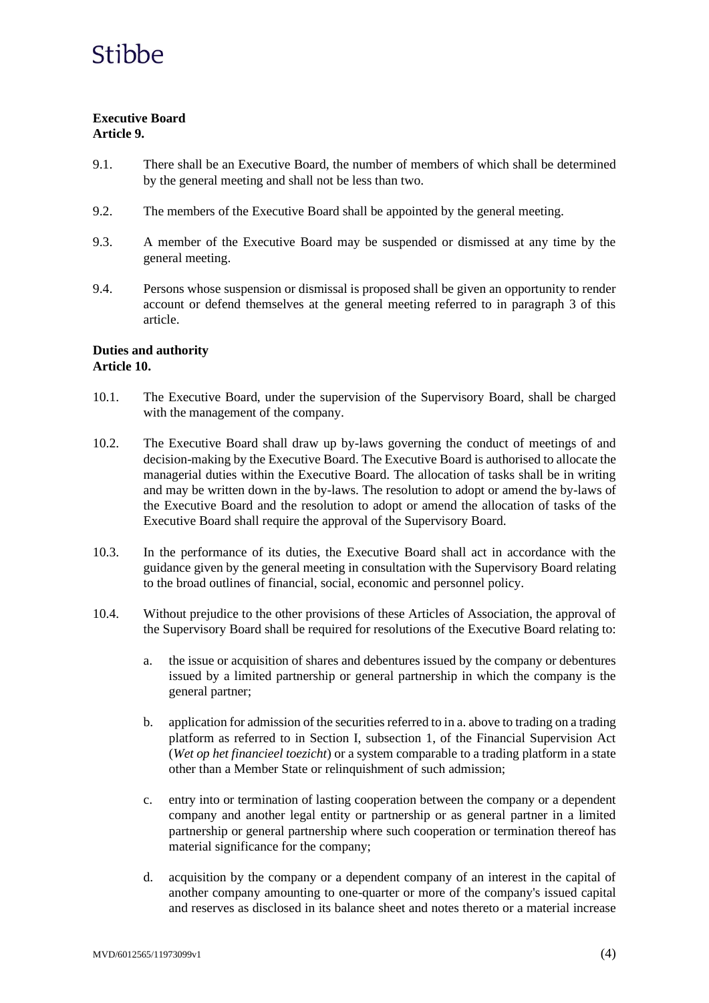## **Executive Board Article 9.**

- 9.1. There shall be an Executive Board, the number of members of which shall be determined by the general meeting and shall not be less than two.
- 9.2. The members of the Executive Board shall be appointed by the general meeting.
- 9.3. A member of the Executive Board may be suspended or dismissed at any time by the general meeting.
- 9.4. Persons whose suspension or dismissal is proposed shall be given an opportunity to render account or defend themselves at the general meeting referred to in paragraph 3 of this article.

### **Duties and authority Article 10.**

- 10.1. The Executive Board, under the supervision of the Supervisory Board, shall be charged with the management of the company.
- 10.2. The Executive Board shall draw up by-laws governing the conduct of meetings of and decision-making by the Executive Board. The Executive Board is authorised to allocate the managerial duties within the Executive Board. The allocation of tasks shall be in writing and may be written down in the by-laws. The resolution to adopt or amend the by-laws of the Executive Board and the resolution to adopt or amend the allocation of tasks of the Executive Board shall require the approval of the Supervisory Board.
- 10.3. In the performance of its duties, the Executive Board shall act in accordance with the guidance given by the general meeting in consultation with the Supervisory Board relating to the broad outlines of financial, social, economic and personnel policy.
- 10.4. Without prejudice to the other provisions of these Articles of Association, the approval of the Supervisory Board shall be required for resolutions of the Executive Board relating to:
	- a. the issue or acquisition of shares and debentures issued by the company or debentures issued by a limited partnership or general partnership in which the company is the general partner;
	- b. application for admission of the securities referred to in a. above to trading on a trading platform as referred to in Section I, subsection 1, of the Financial Supervision Act (*Wet op het financieel toezicht*) or a system comparable to a trading platform in a state other than a Member State or relinquishment of such admission;
	- c. entry into or termination of lasting cooperation between the company or a dependent company and another legal entity or partnership or as general partner in a limited partnership or general partnership where such cooperation or termination thereof has material significance for the company;
	- d. acquisition by the company or a dependent company of an interest in the capital of another company amounting to one-quarter or more of the company's issued capital and reserves as disclosed in its balance sheet and notes thereto or a material increase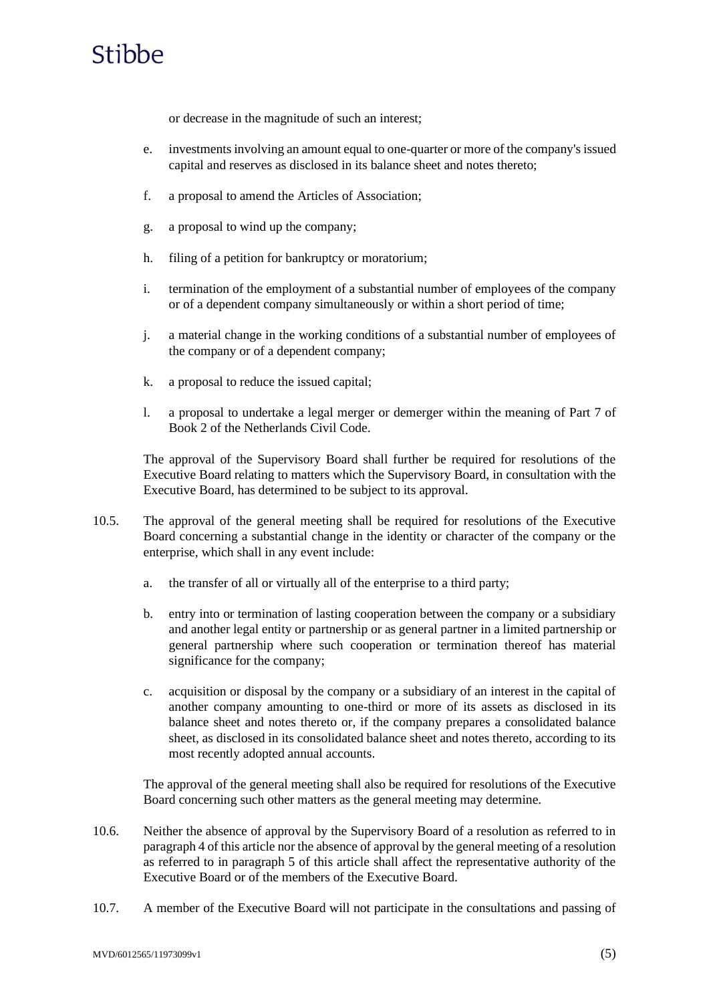or decrease in the magnitude of such an interest;

- e. investments involving an amount equal to one-quarter or more of the company's issued capital and reserves as disclosed in its balance sheet and notes thereto;
- f. a proposal to amend the Articles of Association;
- g. a proposal to wind up the company;
- h. filing of a petition for bankruptcy or moratorium;
- i. termination of the employment of a substantial number of employees of the company or of a dependent company simultaneously or within a short period of time;
- j. a material change in the working conditions of a substantial number of employees of the company or of a dependent company;
- k. a proposal to reduce the issued capital;
- l. a proposal to undertake a legal merger or demerger within the meaning of Part 7 of Book 2 of the Netherlands Civil Code.

The approval of the Supervisory Board shall further be required for resolutions of the Executive Board relating to matters which the Supervisory Board, in consultation with the Executive Board, has determined to be subject to its approval.

- 10.5. The approval of the general meeting shall be required for resolutions of the Executive Board concerning a substantial change in the identity or character of the company or the enterprise, which shall in any event include:
	- a. the transfer of all or virtually all of the enterprise to a third party;
	- b. entry into or termination of lasting cooperation between the company or a subsidiary and another legal entity or partnership or as general partner in a limited partnership or general partnership where such cooperation or termination thereof has material significance for the company;
	- c. acquisition or disposal by the company or a subsidiary of an interest in the capital of another company amounting to one-third or more of its assets as disclosed in its balance sheet and notes thereto or, if the company prepares a consolidated balance sheet, as disclosed in its consolidated balance sheet and notes thereto, according to its most recently adopted annual accounts.

The approval of the general meeting shall also be required for resolutions of the Executive Board concerning such other matters as the general meeting may determine.

- 10.6. Neither the absence of approval by the Supervisory Board of a resolution as referred to in paragraph 4 of this article nor the absence of approval by the general meeting of a resolution as referred to in paragraph 5 of this article shall affect the representative authority of the Executive Board or of the members of the Executive Board.
- 10.7. A member of the Executive Board will not participate in the consultations and passing of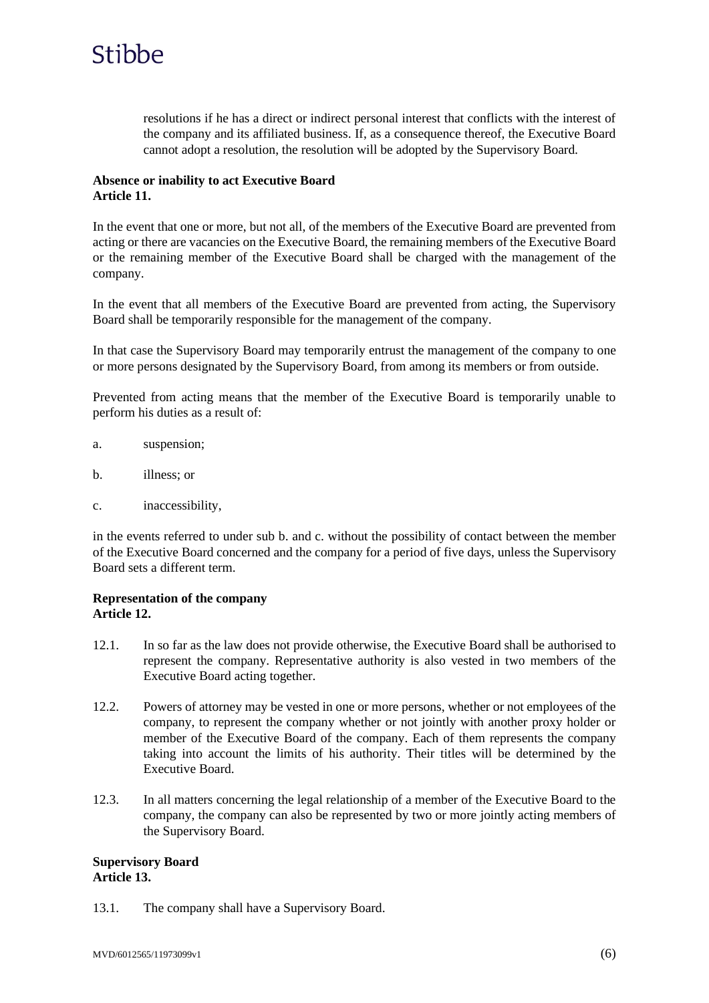

resolutions if he has a direct or indirect personal interest that conflicts with the interest of the company and its affiliated business. If, as a consequence thereof, the Executive Board cannot adopt a resolution, the resolution will be adopted by the Supervisory Board.

### **Absence or inability to act Executive Board Article 11.**

In the event that one or more, but not all, of the members of the Executive Board are prevented from acting or there are vacancies on the Executive Board, the remaining members of the Executive Board or the remaining member of the Executive Board shall be charged with the management of the company.

In the event that all members of the Executive Board are prevented from acting, the Supervisory Board shall be temporarily responsible for the management of the company.

In that case the Supervisory Board may temporarily entrust the management of the company to one or more persons designated by the Supervisory Board, from among its members or from outside.

Prevented from acting means that the member of the Executive Board is temporarily unable to perform his duties as a result of:

- a. suspension;
- b. illness; or
- c. inaccessibility,

in the events referred to under sub b. and c. without the possibility of contact between the member of the Executive Board concerned and the company for a period of five days, unless the Supervisory Board sets a different term.

#### **Representation of the company Article 12.**

- 12.1. In so far as the law does not provide otherwise, the Executive Board shall be authorised to represent the company. Representative authority is also vested in two members of the Executive Board acting together.
- 12.2. Powers of attorney may be vested in one or more persons, whether or not employees of the company, to represent the company whether or not jointly with another proxy holder or member of the Executive Board of the company. Each of them represents the company taking into account the limits of his authority. Their titles will be determined by the Executive Board.
- 12.3. In all matters concerning the legal relationship of a member of the Executive Board to the company, the company can also be represented by two or more jointly acting members of the Supervisory Board.

### **Supervisory Board Article 13.**

13.1. The company shall have a Supervisory Board.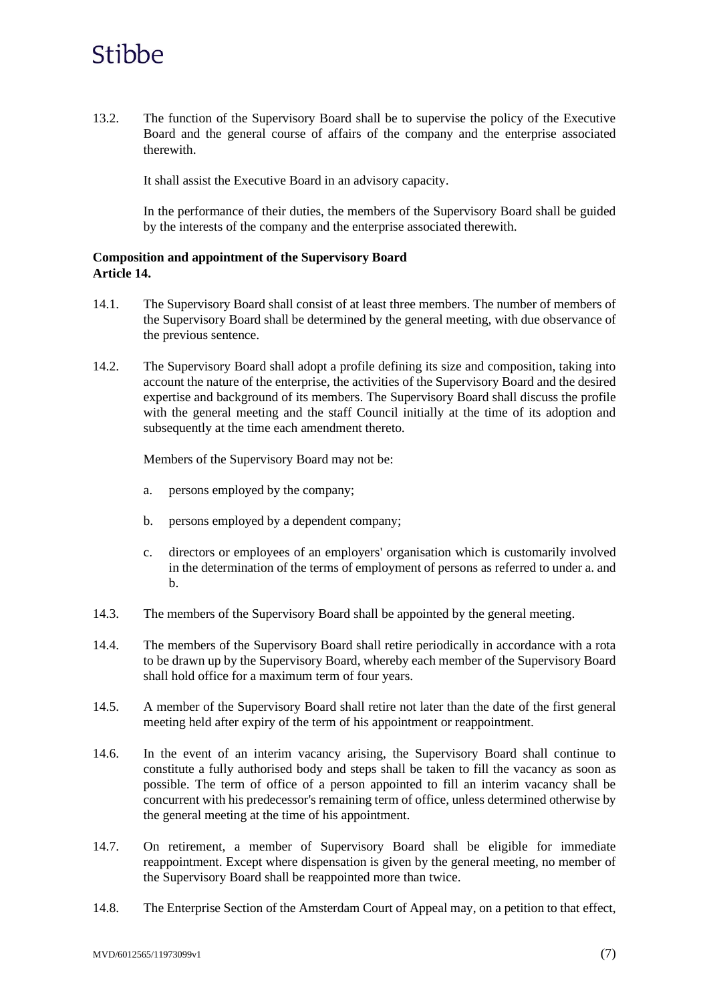13.2. The function of the Supervisory Board shall be to supervise the policy of the Executive Board and the general course of affairs of the company and the enterprise associated therewith.

It shall assist the Executive Board in an advisory capacity.

In the performance of their duties, the members of the Supervisory Board shall be guided by the interests of the company and the enterprise associated therewith.

## **Composition and appointment of the Supervisory Board Article 14.**

- 14.1. The Supervisory Board shall consist of at least three members. The number of members of the Supervisory Board shall be determined by the general meeting, with due observance of the previous sentence.
- 14.2. The Supervisory Board shall adopt a profile defining its size and composition, taking into account the nature of the enterprise, the activities of the Supervisory Board and the desired expertise and background of its members. The Supervisory Board shall discuss the profile with the general meeting and the staff Council initially at the time of its adoption and subsequently at the time each amendment thereto.

Members of the Supervisory Board may not be:

- a. persons employed by the company;
- b. persons employed by a dependent company;
- c. directors or employees of an employers' organisation which is customarily involved in the determination of the terms of employment of persons as referred to under a. and b.
- 14.3. The members of the Supervisory Board shall be appointed by the general meeting.
- 14.4. The members of the Supervisory Board shall retire periodically in accordance with a rota to be drawn up by the Supervisory Board, whereby each member of the Supervisory Board shall hold office for a maximum term of four years.
- 14.5. A member of the Supervisory Board shall retire not later than the date of the first general meeting held after expiry of the term of his appointment or reappointment.
- 14.6. In the event of an interim vacancy arising, the Supervisory Board shall continue to constitute a fully authorised body and steps shall be taken to fill the vacancy as soon as possible. The term of office of a person appointed to fill an interim vacancy shall be concurrent with his predecessor's remaining term of office, unless determined otherwise by the general meeting at the time of his appointment.
- 14.7. On retirement, a member of Supervisory Board shall be eligible for immediate reappointment. Except where dispensation is given by the general meeting, no member of the Supervisory Board shall be reappointed more than twice.
- 14.8. The Enterprise Section of the Amsterdam Court of Appeal may, on a petition to that effect,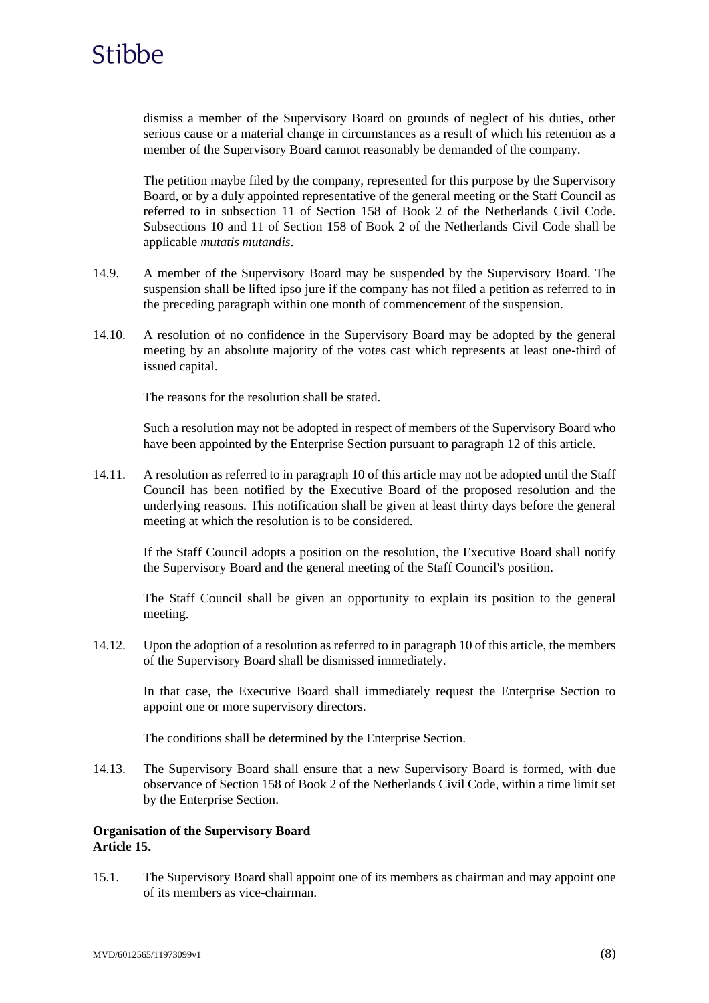

dismiss a member of the Supervisory Board on grounds of neglect of his duties, other serious cause or a material change in circumstances as a result of which his retention as a member of the Supervisory Board cannot reasonably be demanded of the company.

The petition maybe filed by the company, represented for this purpose by the Supervisory Board, or by a duly appointed representative of the general meeting or the Staff Council as referred to in subsection 11 of Section 158 of Book 2 of the Netherlands Civil Code. Subsections 10 and 11 of Section 158 of Book 2 of the Netherlands Civil Code shall be applicable *mutatis mutandis*.

- 14.9. A member of the Supervisory Board may be suspended by the Supervisory Board. The suspension shall be lifted ipso jure if the company has not filed a petition as referred to in the preceding paragraph within one month of commencement of the suspension.
- 14.10. A resolution of no confidence in the Supervisory Board may be adopted by the general meeting by an absolute majority of the votes cast which represents at least one-third of issued capital.

The reasons for the resolution shall be stated.

Such a resolution may not be adopted in respect of members of the Supervisory Board who have been appointed by the Enterprise Section pursuant to paragraph 12 of this article.

14.11. A resolution as referred to in paragraph 10 of this article may not be adopted until the Staff Council has been notified by the Executive Board of the proposed resolution and the underlying reasons. This notification shall be given at least thirty days before the general meeting at which the resolution is to be considered.

If the Staff Council adopts a position on the resolution, the Executive Board shall notify the Supervisory Board and the general meeting of the Staff Council's position.

The Staff Council shall be given an opportunity to explain its position to the general meeting.

14.12. Upon the adoption of a resolution as referred to in paragraph 10 of this article, the members of the Supervisory Board shall be dismissed immediately.

In that case, the Executive Board shall immediately request the Enterprise Section to appoint one or more supervisory directors.

The conditions shall be determined by the Enterprise Section.

14.13. The Supervisory Board shall ensure that a new Supervisory Board is formed, with due observance of Section 158 of Book 2 of the Netherlands Civil Code, within a time limit set by the Enterprise Section.

### **Organisation of the Supervisory Board Article 15.**

15.1. The Supervisory Board shall appoint one of its members as chairman and may appoint one of its members as vice-chairman.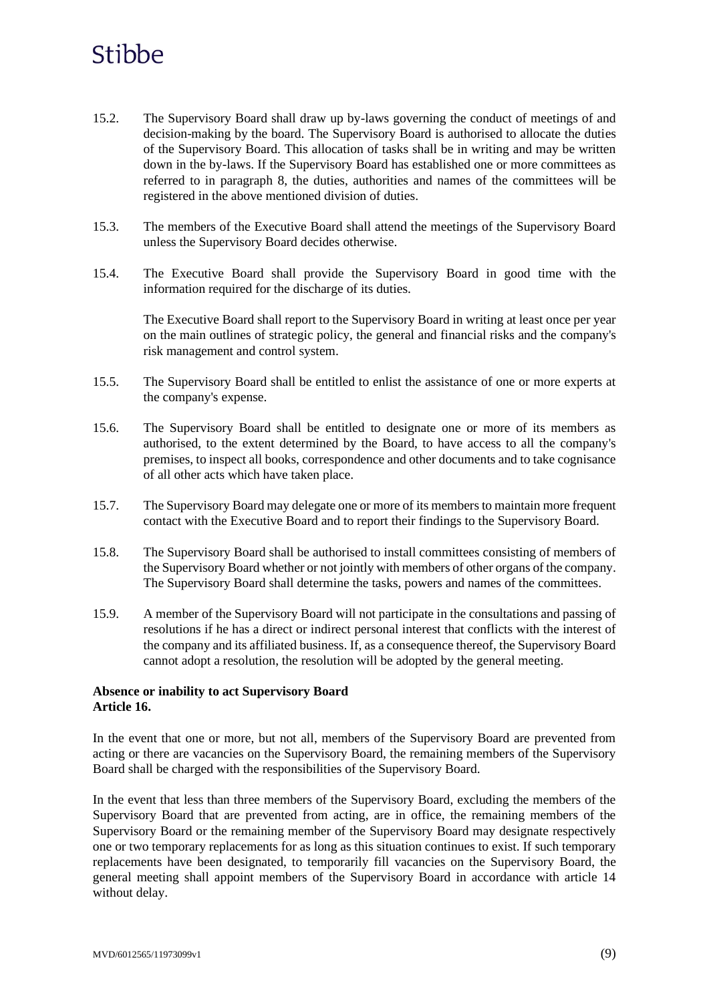- 15.2. The Supervisory Board shall draw up by-laws governing the conduct of meetings of and decision-making by the board. The Supervisory Board is authorised to allocate the duties of the Supervisory Board. This allocation of tasks shall be in writing and may be written down in the by-laws. If the Supervisory Board has established one or more committees as referred to in paragraph 8, the duties, authorities and names of the committees will be registered in the above mentioned division of duties.
- 15.3. The members of the Executive Board shall attend the meetings of the Supervisory Board unless the Supervisory Board decides otherwise.
- 15.4. The Executive Board shall provide the Supervisory Board in good time with the information required for the discharge of its duties.

The Executive Board shall report to the Supervisory Board in writing at least once per year on the main outlines of strategic policy, the general and financial risks and the company's risk management and control system.

- 15.5. The Supervisory Board shall be entitled to enlist the assistance of one or more experts at the company's expense.
- 15.6. The Supervisory Board shall be entitled to designate one or more of its members as authorised, to the extent determined by the Board, to have access to all the company's premises, to inspect all books, correspondence and other documents and to take cognisance of all other acts which have taken place.
- 15.7. The Supervisory Board may delegate one or more of its members to maintain more frequent contact with the Executive Board and to report their findings to the Supervisory Board.
- 15.8. The Supervisory Board shall be authorised to install committees consisting of members of the Supervisory Board whether or not jointly with members of other organs of the company. The Supervisory Board shall determine the tasks, powers and names of the committees.
- 15.9. A member of the Supervisory Board will not participate in the consultations and passing of resolutions if he has a direct or indirect personal interest that conflicts with the interest of the company and its affiliated business. If, as a consequence thereof, the Supervisory Board cannot adopt a resolution, the resolution will be adopted by the general meeting.

### **Absence or inability to act Supervisory Board Article 16.**

In the event that one or more, but not all, members of the Supervisory Board are prevented from acting or there are vacancies on the Supervisory Board, the remaining members of the Supervisory Board shall be charged with the responsibilities of the Supervisory Board.

In the event that less than three members of the Supervisory Board, excluding the members of the Supervisory Board that are prevented from acting, are in office, the remaining members of the Supervisory Board or the remaining member of the Supervisory Board may designate respectively one or two temporary replacements for as long as this situation continues to exist. If such temporary replacements have been designated, to temporarily fill vacancies on the Supervisory Board, the general meeting shall appoint members of the Supervisory Board in accordance with article 14 without delay.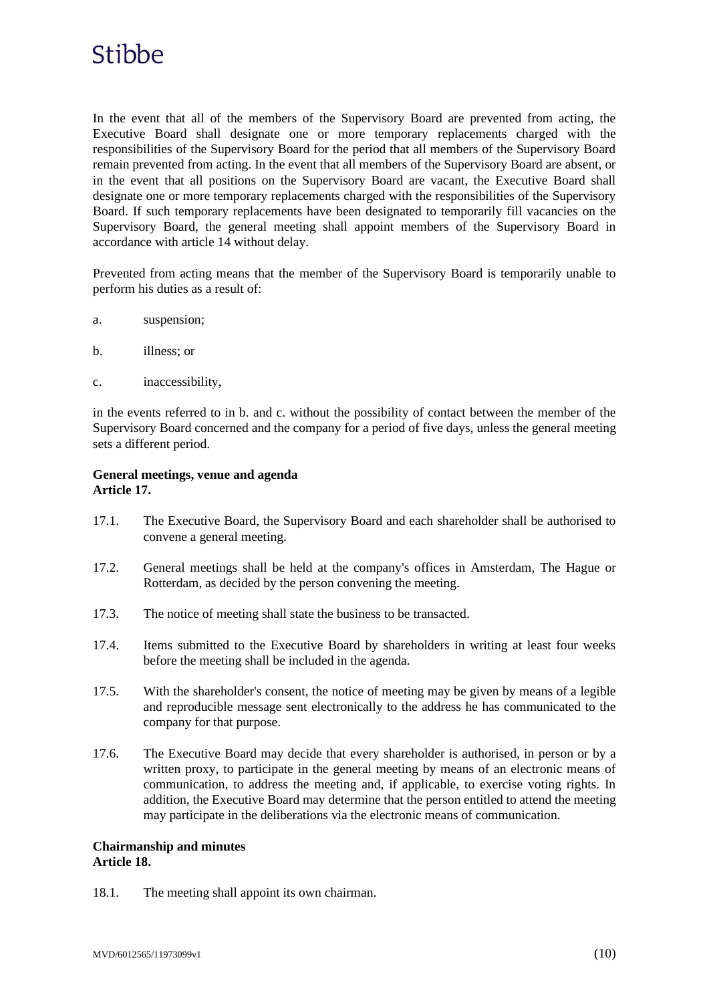In the event that all of the members of the Supervisory Board are prevented from acting, the Executive Board shall designate one or more temporary replacements charged with the responsibilities of the Supervisory Board for the period that all members of the Supervisory Board remain prevented from acting. In the event that all members of the Supervisory Board are absent, or in the event that all positions on the Supervisory Board are vacant, the Executive Board shall designate one or more temporary replacements charged with the responsibilities of the Supervisory Board. If such temporary replacements have been designated to temporarily fill vacancies on the Supervisory Board, the general meeting shall appoint members of the Supervisory Board in accordance with article 14 without delay.

Prevented from acting means that the member of the Supervisory Board is temporarily unable to perform his duties as a result of:

- a. suspension;
- b. illness; or
- c. inaccessibility,

in the events referred to in b. and c. without the possibility of contact between the member of the Supervisory Board concerned and the company for a period of five days, unless the general meeting sets a different period.

### **General meetings, venue and agenda Article 17.**

- 17.1. The Executive Board, the Supervisory Board and each shareholder shall be authorised to convene a general meeting.
- 17.2. General meetings shall be held at the company's offices in Amsterdam, The Hague or Rotterdam, as decided by the person convening the meeting.
- 17.3. The notice of meeting shall state the business to be transacted.
- 17.4. Items submitted to the Executive Board by shareholders in writing at least four weeks before the meeting shall be included in the agenda.
- 17.5. With the shareholder's consent, the notice of meeting may be given by means of a legible and reproducible message sent electronically to the address he has communicated to the company for that purpose.
- 17.6. The Executive Board may decide that every shareholder is authorised, in person or by a written proxy, to participate in the general meeting by means of an electronic means of communication, to address the meeting and, if applicable, to exercise voting rights. In addition, the Executive Board may determine that the person entitled to attend the meeting may participate in the deliberations via the electronic means of communication.

#### **Chairmanship and minutes Article 18.**

18.1. The meeting shall appoint its own chairman.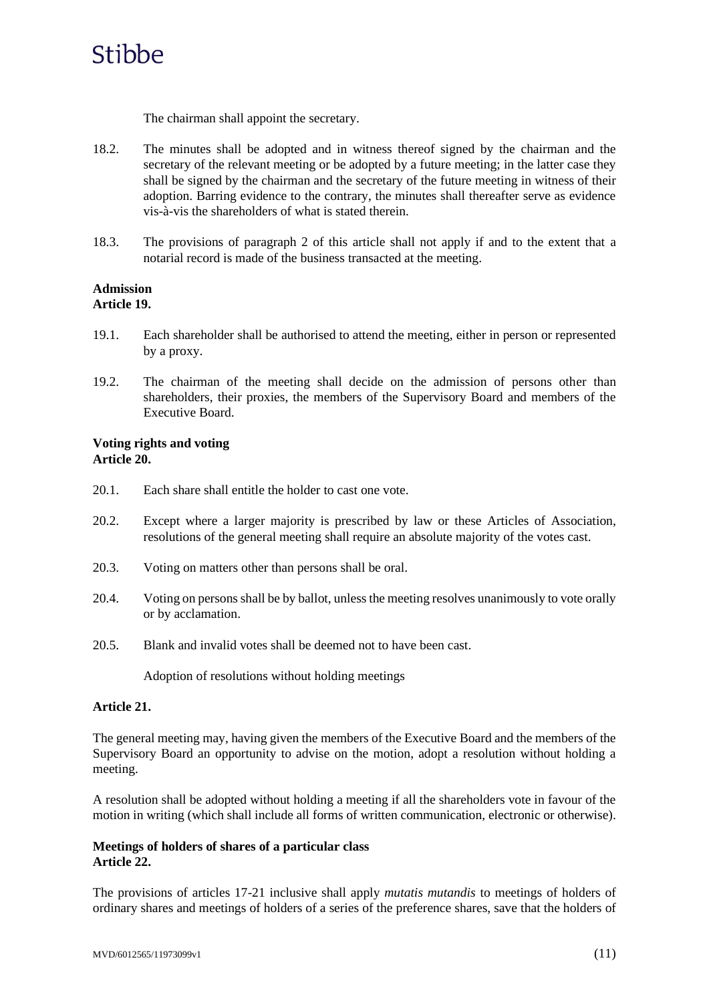

The chairman shall appoint the secretary.

- 18.2. The minutes shall be adopted and in witness thereof signed by the chairman and the secretary of the relevant meeting or be adopted by a future meeting; in the latter case they shall be signed by the chairman and the secretary of the future meeting in witness of their adoption. Barring evidence to the contrary, the minutes shall thereafter serve as evidence vis-à-vis the shareholders of what is stated therein.
- 18.3. The provisions of paragraph 2 of this article shall not apply if and to the extent that a notarial record is made of the business transacted at the meeting.

#### **Admission Article 19.**

- 19.1. Each shareholder shall be authorised to attend the meeting, either in person or represented by a proxy.
- 19.2. The chairman of the meeting shall decide on the admission of persons other than shareholders, their proxies, the members of the Supervisory Board and members of the Executive Board.

### **Voting rights and voting Article 20.**

- 20.1. Each share shall entitle the holder to cast one vote.
- 20.2. Except where a larger majority is prescribed by law or these Articles of Association, resolutions of the general meeting shall require an absolute majority of the votes cast.
- 20.3. Voting on matters other than persons shall be oral.
- 20.4. Voting on persons shall be by ballot, unless the meeting resolves unanimously to vote orally or by acclamation.
- 20.5. Blank and invalid votes shall be deemed not to have been cast.

Adoption of resolutions without holding meetings

### **Article 21.**

The general meeting may, having given the members of the Executive Board and the members of the Supervisory Board an opportunity to advise on the motion, adopt a resolution without holding a meeting.

A resolution shall be adopted without holding a meeting if all the shareholders vote in favour of the motion in writing (which shall include all forms of written communication, electronic or otherwise).

### **Meetings of holders of shares of a particular class Article 22.**

The provisions of articles 17-21 inclusive shall apply *mutatis mutandis* to meetings of holders of ordinary shares and meetings of holders of a series of the preference shares, save that the holders of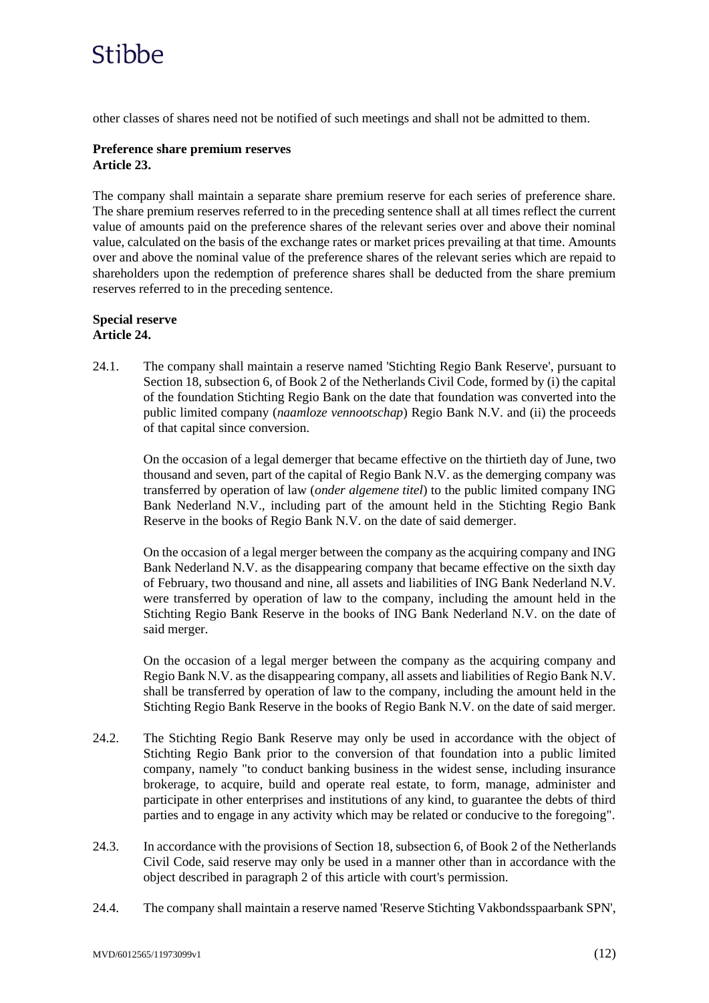other classes of shares need not be notified of such meetings and shall not be admitted to them.

### **Preference share premium reserves Article 23.**

The company shall maintain a separate share premium reserve for each series of preference share. The share premium reserves referred to in the preceding sentence shall at all times reflect the current value of amounts paid on the preference shares of the relevant series over and above their nominal value, calculated on the basis of the exchange rates or market prices prevailing at that time. Amounts over and above the nominal value of the preference shares of the relevant series which are repaid to shareholders upon the redemption of preference shares shall be deducted from the share premium reserves referred to in the preceding sentence.

### **Special reserve Article 24.**

24.1. The company shall maintain a reserve named 'Stichting Regio Bank Reserve', pursuant to Section 18, subsection 6, of Book 2 of the Netherlands Civil Code, formed by (i) the capital of the foundation Stichting Regio Bank on the date that foundation was converted into the public limited company (*naamloze vennootschap*) Regio Bank N.V. and (ii) the proceeds of that capital since conversion.

On the occasion of a legal demerger that became effective on the thirtieth day of June, two thousand and seven, part of the capital of Regio Bank N.V. as the demerging company was transferred by operation of law (*onder algemene titel*) to the public limited company ING Bank Nederland N.V., including part of the amount held in the Stichting Regio Bank Reserve in the books of Regio Bank N.V. on the date of said demerger.

On the occasion of a legal merger between the company as the acquiring company and ING Bank Nederland N.V. as the disappearing company that became effective on the sixth day of February, two thousand and nine, all assets and liabilities of ING Bank Nederland N.V. were transferred by operation of law to the company, including the amount held in the Stichting Regio Bank Reserve in the books of ING Bank Nederland N.V. on the date of said merger.

On the occasion of a legal merger between the company as the acquiring company and Regio Bank N.V. as the disappearing company, all assets and liabilities of Regio Bank N.V. shall be transferred by operation of law to the company, including the amount held in the Stichting Regio Bank Reserve in the books of Regio Bank N.V. on the date of said merger.

- 24.2. The Stichting Regio Bank Reserve may only be used in accordance with the object of Stichting Regio Bank prior to the conversion of that foundation into a public limited company, namely "to conduct banking business in the widest sense, including insurance brokerage, to acquire, build and operate real estate, to form, manage, administer and participate in other enterprises and institutions of any kind, to guarantee the debts of third parties and to engage in any activity which may be related or conducive to the foregoing".
- 24.3. In accordance with the provisions of Section 18, subsection 6, of Book 2 of the Netherlands Civil Code, said reserve may only be used in a manner other than in accordance with the object described in paragraph 2 of this article with court's permission.
- 24.4. The company shall maintain a reserve named 'Reserve Stichting Vakbondsspaarbank SPN',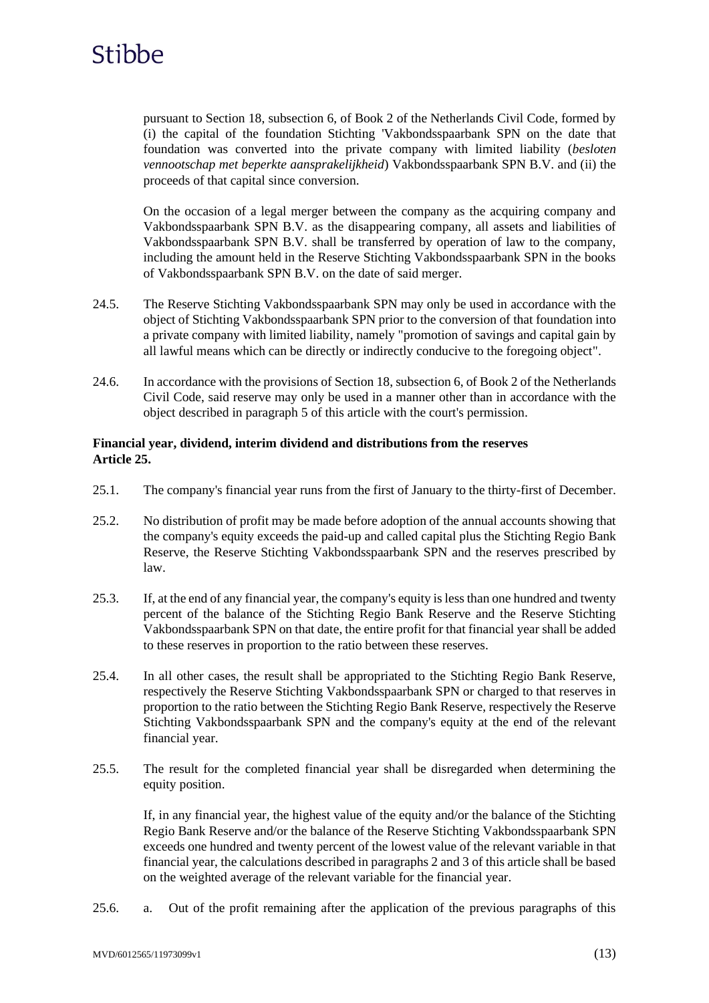

pursuant to Section 18, subsection 6, of Book 2 of the Netherlands Civil Code, formed by (i) the capital of the foundation Stichting 'Vakbondsspaarbank SPN on the date that foundation was converted into the private company with limited liability (*besloten vennootschap met beperkte aansprakelijkheid*) Vakbondsspaarbank SPN B.V. and (ii) the proceeds of that capital since conversion.

On the occasion of a legal merger between the company as the acquiring company and Vakbondsspaarbank SPN B.V. as the disappearing company, all assets and liabilities of Vakbondsspaarbank SPN B.V. shall be transferred by operation of law to the company, including the amount held in the Reserve Stichting Vakbondsspaarbank SPN in the books of Vakbondsspaarbank SPN B.V. on the date of said merger.

- 24.5. The Reserve Stichting Vakbondsspaarbank SPN may only be used in accordance with the object of Stichting Vakbondsspaarbank SPN prior to the conversion of that foundation into a private company with limited liability, namely "promotion of savings and capital gain by all lawful means which can be directly or indirectly conducive to the foregoing object".
- 24.6. In accordance with the provisions of Section 18, subsection 6, of Book 2 of the Netherlands Civil Code, said reserve may only be used in a manner other than in accordance with the object described in paragraph 5 of this article with the court's permission.

### **Financial year, dividend, interim dividend and distributions from the reserves Article 25.**

- 25.1. The company's financial year runs from the first of January to the thirty-first of December.
- 25.2. No distribution of profit may be made before adoption of the annual accounts showing that the company's equity exceeds the paid-up and called capital plus the Stichting Regio Bank Reserve, the Reserve Stichting Vakbondsspaarbank SPN and the reserves prescribed by law.
- 25.3. If, at the end of any financial year, the company's equity is less than one hundred and twenty percent of the balance of the Stichting Regio Bank Reserve and the Reserve Stichting Vakbondsspaarbank SPN on that date, the entire profit for that financial year shall be added to these reserves in proportion to the ratio between these reserves.
- 25.4. In all other cases, the result shall be appropriated to the Stichting Regio Bank Reserve, respectively the Reserve Stichting Vakbondsspaarbank SPN or charged to that reserves in proportion to the ratio between the Stichting Regio Bank Reserve, respectively the Reserve Stichting Vakbondsspaarbank SPN and the company's equity at the end of the relevant financial year.
- 25.5. The result for the completed financial year shall be disregarded when determining the equity position.

If, in any financial year, the highest value of the equity and/or the balance of the Stichting Regio Bank Reserve and/or the balance of the Reserve Stichting Vakbondsspaarbank SPN exceeds one hundred and twenty percent of the lowest value of the relevant variable in that financial year, the calculations described in paragraphs 2 and 3 of this article shall be based on the weighted average of the relevant variable for the financial year.

25.6. a. Out of the profit remaining after the application of the previous paragraphs of this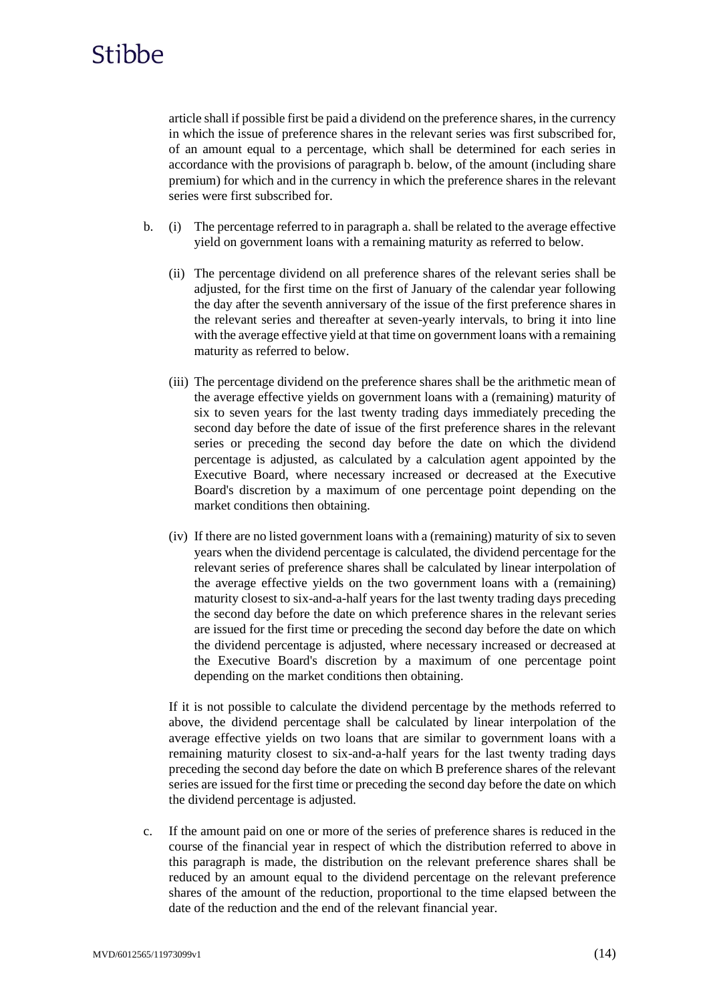article shall if possible first be paid a dividend on the preference shares, in the currency in which the issue of preference shares in the relevant series was first subscribed for, of an amount equal to a percentage, which shall be determined for each series in accordance with the provisions of paragraph b. below, of the amount (including share premium) for which and in the currency in which the preference shares in the relevant series were first subscribed for.

- b. (i) The percentage referred to in paragraph a. shall be related to the average effective yield on government loans with a remaining maturity as referred to below.
	- (ii) The percentage dividend on all preference shares of the relevant series shall be adjusted, for the first time on the first of January of the calendar year following the day after the seventh anniversary of the issue of the first preference shares in the relevant series and thereafter at seven-yearly intervals, to bring it into line with the average effective yield at that time on government loans with a remaining maturity as referred to below.
	- (iii) The percentage dividend on the preference shares shall be the arithmetic mean of the average effective yields on government loans with a (remaining) maturity of six to seven years for the last twenty trading days immediately preceding the second day before the date of issue of the first preference shares in the relevant series or preceding the second day before the date on which the dividend percentage is adjusted, as calculated by a calculation agent appointed by the Executive Board, where necessary increased or decreased at the Executive Board's discretion by a maximum of one percentage point depending on the market conditions then obtaining.
	- (iv) If there are no listed government loans with a (remaining) maturity of six to seven years when the dividend percentage is calculated, the dividend percentage for the relevant series of preference shares shall be calculated by linear interpolation of the average effective yields on the two government loans with a (remaining) maturity closest to six-and-a-half years for the last twenty trading days preceding the second day before the date on which preference shares in the relevant series are issued for the first time or preceding the second day before the date on which the dividend percentage is adjusted, where necessary increased or decreased at the Executive Board's discretion by a maximum of one percentage point depending on the market conditions then obtaining.

If it is not possible to calculate the dividend percentage by the methods referred to above, the dividend percentage shall be calculated by linear interpolation of the average effective yields on two loans that are similar to government loans with a remaining maturity closest to six-and-a-half years for the last twenty trading days preceding the second day before the date on which B preference shares of the relevant series are issued for the first time or preceding the second day before the date on which the dividend percentage is adjusted.

c. If the amount paid on one or more of the series of preference shares is reduced in the course of the financial year in respect of which the distribution referred to above in this paragraph is made, the distribution on the relevant preference shares shall be reduced by an amount equal to the dividend percentage on the relevant preference shares of the amount of the reduction, proportional to the time elapsed between the date of the reduction and the end of the relevant financial year.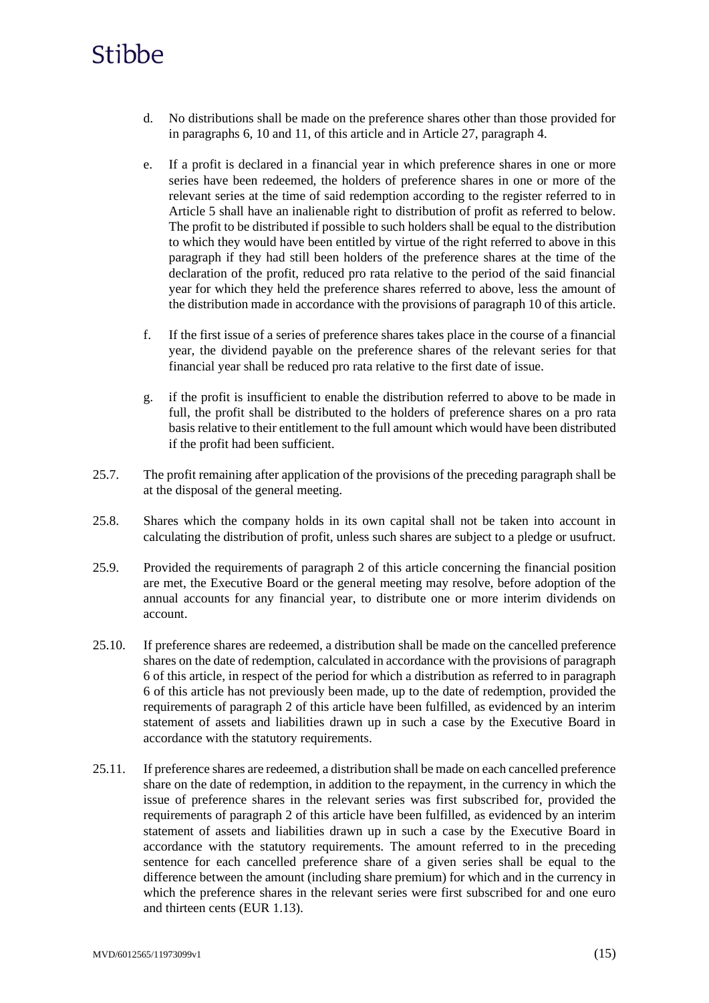- d. No distributions shall be made on the preference shares other than those provided for in paragraphs 6, 10 and 11, of this article and in Article 27, paragraph 4.
- e. If a profit is declared in a financial year in which preference shares in one or more series have been redeemed, the holders of preference shares in one or more of the relevant series at the time of said redemption according to the register referred to in Article 5 shall have an inalienable right to distribution of profit as referred to below. The profit to be distributed if possible to such holders shall be equal to the distribution to which they would have been entitled by virtue of the right referred to above in this paragraph if they had still been holders of the preference shares at the time of the declaration of the profit, reduced pro rata relative to the period of the said financial year for which they held the preference shares referred to above, less the amount of the distribution made in accordance with the provisions of paragraph 10 of this article.
- f. If the first issue of a series of preference shares takes place in the course of a financial year, the dividend payable on the preference shares of the relevant series for that financial year shall be reduced pro rata relative to the first date of issue.
- g. if the profit is insufficient to enable the distribution referred to above to be made in full, the profit shall be distributed to the holders of preference shares on a pro rata basis relative to their entitlement to the full amount which would have been distributed if the profit had been sufficient.
- 25.7. The profit remaining after application of the provisions of the preceding paragraph shall be at the disposal of the general meeting.
- 25.8. Shares which the company holds in its own capital shall not be taken into account in calculating the distribution of profit, unless such shares are subject to a pledge or usufruct.
- 25.9. Provided the requirements of paragraph 2 of this article concerning the financial position are met, the Executive Board or the general meeting may resolve, before adoption of the annual accounts for any financial year, to distribute one or more interim dividends on account.
- 25.10. If preference shares are redeemed, a distribution shall be made on the cancelled preference shares on the date of redemption, calculated in accordance with the provisions of paragraph 6 of this article, in respect of the period for which a distribution as referred to in paragraph 6 of this article has not previously been made, up to the date of redemption, provided the requirements of paragraph 2 of this article have been fulfilled, as evidenced by an interim statement of assets and liabilities drawn up in such a case by the Executive Board in accordance with the statutory requirements.
- 25.11. If preference shares are redeemed, a distribution shall be made on each cancelled preference share on the date of redemption, in addition to the repayment, in the currency in which the issue of preference shares in the relevant series was first subscribed for, provided the requirements of paragraph 2 of this article have been fulfilled, as evidenced by an interim statement of assets and liabilities drawn up in such a case by the Executive Board in accordance with the statutory requirements. The amount referred to in the preceding sentence for each cancelled preference share of a given series shall be equal to the difference between the amount (including share premium) for which and in the currency in which the preference shares in the relevant series were first subscribed for and one euro and thirteen cents (EUR 1.13).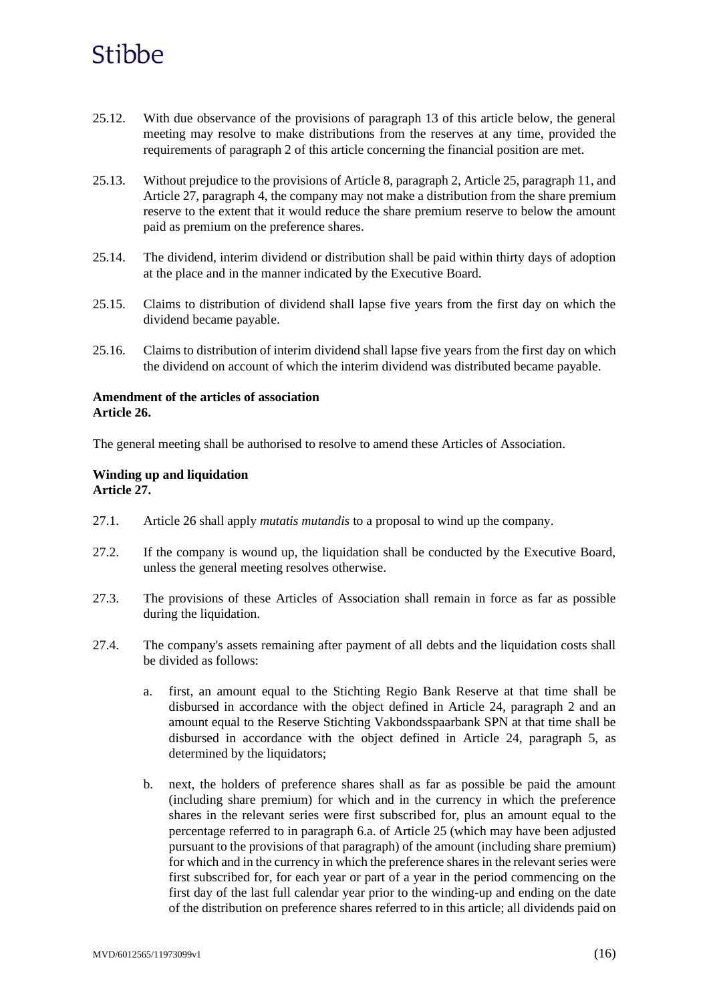- 25.12. With due observance of the provisions of paragraph 13 of this article below, the general meeting may resolve to make distributions from the reserves at any time, provided the requirements of paragraph 2 of this article concerning the financial position are met.
- 25.13. Without prejudice to the provisions of Article 8, paragraph 2, Article 25, paragraph 11, and Article 27, paragraph 4, the company may not make a distribution from the share premium reserve to the extent that it would reduce the share premium reserve to below the amount paid as premium on the preference shares.
- 25.14. The dividend, interim dividend or distribution shall be paid within thirty days of adoption at the place and in the manner indicated by the Executive Board.
- 25.15. Claims to distribution of dividend shall lapse five years from the first day on which the dividend became payable.
- 25.16. Claims to distribution of interim dividend shall lapse five years from the first day on which the dividend on account of which the interim dividend was distributed became payable.

### **Amendment of the articles of association Article 26.**

The general meeting shall be authorised to resolve to amend these Articles of Association.

### **Winding up and liquidation Article 27.**

- 27.1. Article 26 shall apply *mutatis mutandis* to a proposal to wind up the company.
- 27.2. If the company is wound up, the liquidation shall be conducted by the Executive Board, unless the general meeting resolves otherwise.
- 27.3. The provisions of these Articles of Association shall remain in force as far as possible during the liquidation.
- 27.4. The company's assets remaining after payment of all debts and the liquidation costs shall be divided as follows:
	- a. first, an amount equal to the Stichting Regio Bank Reserve at that time shall be disbursed in accordance with the object defined in Article 24, paragraph 2 and an amount equal to the Reserve Stichting Vakbondsspaarbank SPN at that time shall be disbursed in accordance with the object defined in Article 24, paragraph 5, as determined by the liquidators;
	- b. next, the holders of preference shares shall as far as possible be paid the amount (including share premium) for which and in the currency in which the preference shares in the relevant series were first subscribed for, plus an amount equal to the percentage referred to in paragraph 6.a. of Article 25 (which may have been adjusted pursuant to the provisions of that paragraph) of the amount (including share premium) for which and in the currency in which the preference shares in the relevant series were first subscribed for, for each year or part of a year in the period commencing on the first day of the last full calendar year prior to the winding-up and ending on the date of the distribution on preference shares referred to in this article; all dividends paid on